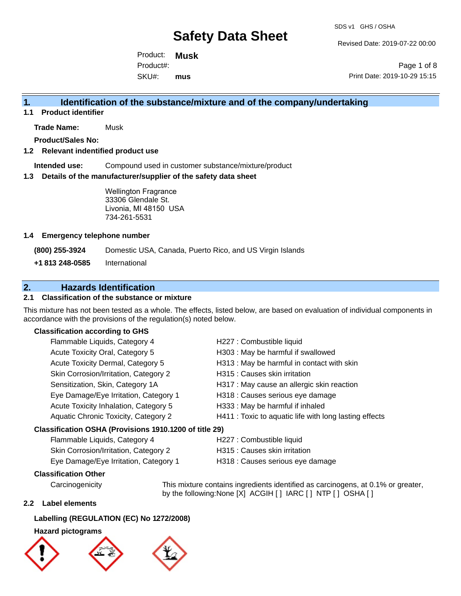Revised Date: 2019-07-22 00:00

Product: **Musk** SKU#: Product#: **mus**

Page 1 of 8 Print Date: 2019-10-29 15:15

### **1. Identification of the substance/mixture and of the company/undertaking**

**1.1 Product identifier**

**Trade Name:** Musk

**Product/Sales No:**

#### **1.2 Relevant indentified product use**

**Intended use:** Compound used in customer substance/mixture/product

#### **1.3 Details of the manufacturer/supplier of the safety data sheet**

Wellington Fragrance 33306 Glendale St. Livonia, MI 48150 USA 734-261-5531

#### **1.4 Emergency telephone number**

**(800) 255-3924** Domestic USA, Canada, Puerto Rico, and US Virgin Islands

**+1 813 248-0585** International

### **2. Hazards Identification**

### **2.1 Classification of the substance or mixture**

This mixture has not been tested as a whole. The effects, listed below, are based on evaluation of individual components in accordance with the provisions of the regulation(s) noted below.

#### **Classification according to GHS**

| Flammable Liquids, Category 4                          | H227 : Combustible liquid                              |
|--------------------------------------------------------|--------------------------------------------------------|
| Acute Toxicity Oral, Category 5                        | H303 : May be harmful if swallowed                     |
| Acute Toxicity Dermal, Category 5                      | H313 : May be harmful in contact with skin             |
| Skin Corrosion/Irritation, Category 2                  | H315 : Causes skin irritation                          |
| Sensitization, Skin, Category 1A                       | H317 : May cause an allergic skin reaction             |
| Eye Damage/Eye Irritation, Category 1                  | H318 : Causes serious eye damage                       |
| Acute Toxicity Inhalation, Category 5                  | H333: May be harmful if inhaled                        |
| Aquatic Chronic Toxicity, Category 2                   | H411 : Toxic to aquatic life with long lasting effects |
| Classification OSHA (Provisions 1910.1200 of title 29) |                                                        |
|                                                        |                                                        |

# Flammable Liquids, Category 4 H227 : Combustible liquid

| Skin Corrosion/Irritation, Category 2 | H315 : Causes skin irritation    |
|---------------------------------------|----------------------------------|
| Eye Damage/Eye Irritation, Category 1 | H318 : Causes serious eye damage |

#### **Classification Other**

Carcinogenicity This mixture contains ingredients identified as carcinogens, at 0.1% or greater, by the following:None [X] ACGIH [ ] IARC [ ] NTP [ ] OSHA [ ]

#### **2.2 Label elements**

#### **Labelling (REGULATION (EC) No 1272/2008)**

#### **Hazard pictograms**





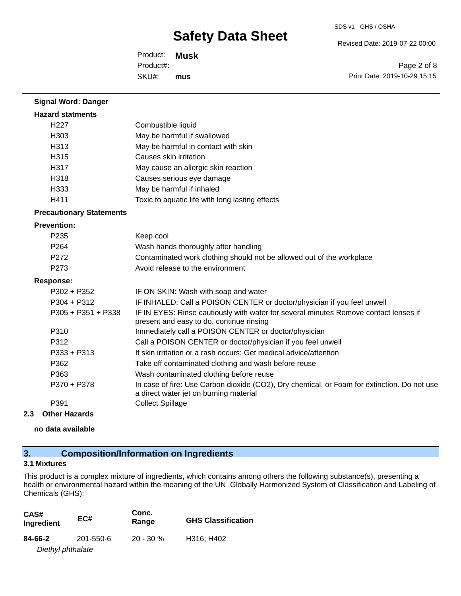SDS v1 GHS / OSHA

Revised Date: 2019-07-22 00:00

Product: **Musk** SKU#: Product#: **mus**

Page 2 of 8 Print Date: 2019-10-29 15:15

| <b>Signal Word: Danger</b>      |                                                                                                                                       |
|---------------------------------|---------------------------------------------------------------------------------------------------------------------------------------|
| <b>Hazard statments</b>         |                                                                                                                                       |
| H <sub>227</sub>                | Combustible liquid                                                                                                                    |
| H303                            | May be harmful if swallowed                                                                                                           |
| H313                            | May be harmful in contact with skin                                                                                                   |
| H315                            | Causes skin irritation                                                                                                                |
| H317                            | May cause an allergic skin reaction                                                                                                   |
| H318                            | Causes serious eye damage                                                                                                             |
| H333                            | May be harmful if inhaled                                                                                                             |
| H411                            | Toxic to aquatic life with long lasting effects                                                                                       |
| <b>Precautionary Statements</b> |                                                                                                                                       |
| <b>Prevention:</b>              |                                                                                                                                       |
| P <sub>235</sub>                | Keep cool                                                                                                                             |
| P264                            | Wash hands thoroughly after handling                                                                                                  |
| P <sub>272</sub>                | Contaminated work clothing should not be allowed out of the workplace                                                                 |
| P <sub>273</sub>                | Avoid release to the environment                                                                                                      |
| <b>Response:</b>                |                                                                                                                                       |
| $P302 + P352$                   | IF ON SKIN: Wash with soap and water                                                                                                  |
| $P304 + P312$                   | IF INHALED: Call a POISON CENTER or doctor/physician if you feel unwell                                                               |
| P305 + P351 + P338              | IF IN EYES: Rinse cautiously with water for several minutes Remove contact lenses if<br>present and easy to do. continue rinsing      |
| P310                            | Immediately call a POISON CENTER or doctor/physician                                                                                  |
| P312                            | Call a POISON CENTER or doctor/physician if you feel unwell                                                                           |
| P333 + P313                     | If skin irritation or a rash occurs: Get medical advice/attention                                                                     |
| P362                            | Take off contaminated clothing and wash before reuse                                                                                  |
| P363                            | Wash contaminated clothing before reuse                                                                                               |
| P370 + P378                     | In case of fire: Use Carbon dioxide (CO2), Dry chemical, or Foam for extinction. Do not use<br>a direct water jet on burning material |
| P391                            | <b>Collect Spillage</b>                                                                                                               |

#### **2.3 Other Hazards**

**no data available**

## **3. Composition/Information on Ingredients**

### **3.1 Mixtures**

This product is a complex mixture of ingredients, which contains among others the following substance(s), presenting a health or environmental hazard within the meaning of the UN Globally Harmonized System of Classification and Labeling of Chemicals (GHS):

| CAS#<br>Ingredient | EC#       | Conc.<br>Range | <b>GHS Classification</b> |
|--------------------|-----------|----------------|---------------------------|
| 84-66-2            | 201-550-6 | $20 - 30 \%$   | H316; H402                |
| Diethyl phthalate  |           |                |                           |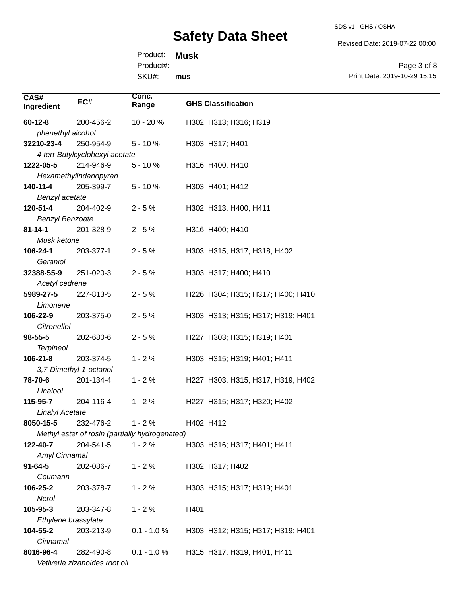SDS v1 GHS / OSHA

Revised Date: 2019-07-22 00:00

Product: **Musk** Product#:

SKU#: **mus**

Page 3 of 8 Print Date: 2019-10-29 15:15

| CAS#                                           |                                | Conc.         |                                    |
|------------------------------------------------|--------------------------------|---------------|------------------------------------|
| Ingredient                                     | EC#                            | Range         | <b>GHS Classification</b>          |
| $60 - 12 - 8$                                  | 200-456-2                      | 10 - 20 %     | H302; H313; H316; H319             |
| phenethyl alcohol                              |                                |               |                                    |
| 32210-23-4                                     | 250-954-9                      | $5 - 10%$     | H303; H317; H401                   |
|                                                | 4-tert-Butylcyclohexyl acetate |               |                                    |
| 1222-05-5                                      | 214-946-9                      | $5 - 10%$     | H316; H400; H410                   |
|                                                | Hexamethylindanopyran          |               |                                    |
| 140-11-4                                       | 205-399-7                      | $5 - 10%$     | H303; H401; H412                   |
| Benzyl acetate                                 |                                |               |                                    |
| 120-51-4                                       | 204-402-9                      | $2 - 5%$      | H302; H313; H400; H411             |
| <b>Benzyl Benzoate</b>                         |                                |               |                                    |
| $81 - 14 - 1$                                  | 201-328-9                      | $2 - 5%$      | H316; H400; H410                   |
| Musk ketone                                    |                                |               |                                    |
| 106-24-1                                       | 203-377-1                      | $2 - 5%$      | H303; H315; H317; H318; H402       |
| Geraniol                                       |                                |               |                                    |
| 32388-55-9                                     | 251-020-3                      | $2 - 5%$      | H303; H317; H400; H410             |
| Acetyl cedrene                                 |                                |               |                                    |
| 5989-27-5                                      | 227-813-5                      | $2 - 5%$      | H226; H304; H315; H317; H400; H410 |
| Limonene                                       |                                |               |                                    |
| 106-22-9                                       | 203-375-0                      | $2 - 5%$      | H303; H313; H315; H317; H319; H401 |
| Citronellol                                    |                                |               |                                    |
| $98 - 55 - 5$                                  | 202-680-6                      | $2 - 5%$      | H227; H303; H315; H319; H401       |
| <b>Terpineol</b>                               |                                |               |                                    |
| $106 - 21 - 8$                                 | 203-374-5                      | $1 - 2%$      | H303; H315; H319; H401; H411       |
|                                                | 3,7-Dimethyl-1-octanol         |               |                                    |
| 78-70-6                                        | 201-134-4                      | $1 - 2%$      | H227; H303; H315; H317; H319; H402 |
| Linalool                                       |                                |               |                                    |
| 115-95-7                                       | 204-116-4                      | $1 - 2%$      | H227; H315; H317; H320; H402       |
| <b>Linalyl Acetate</b>                         |                                |               |                                    |
| 8050-15-5                                      | 232-476-2                      | $1 - 2%$      | H402; H412                         |
| Methyl ester of rosin (partially hydrogenated) |                                |               |                                    |
| 122-40-7                                       | 204-541-5                      | $1 - 2%$      | H303; H316; H317; H401; H411       |
| Amyl Cinnamal                                  |                                |               |                                    |
| $91 - 64 - 5$                                  | 202-086-7                      | $1 - 2%$      | H302; H317; H402                   |
| Coumarin                                       |                                |               |                                    |
| 106-25-2                                       | 203-378-7                      | $1 - 2%$      | H303; H315; H317; H319; H401       |
| Nerol                                          |                                |               |                                    |
| 105-95-3                                       | 203-347-8                      | $1 - 2%$      | H401                               |
| Ethylene brassylate                            |                                |               |                                    |
| 104-55-2                                       | 203-213-9                      | $0.1 - 1.0 %$ | H303; H312; H315; H317; H319; H401 |
| Cinnamal                                       |                                |               |                                    |
| 8016-96-4                                      | 282-490-8                      | $0.1 - 1.0 %$ | H315; H317; H319; H401; H411       |
|                                                | Vetiveria zizanoides root oil  |               |                                    |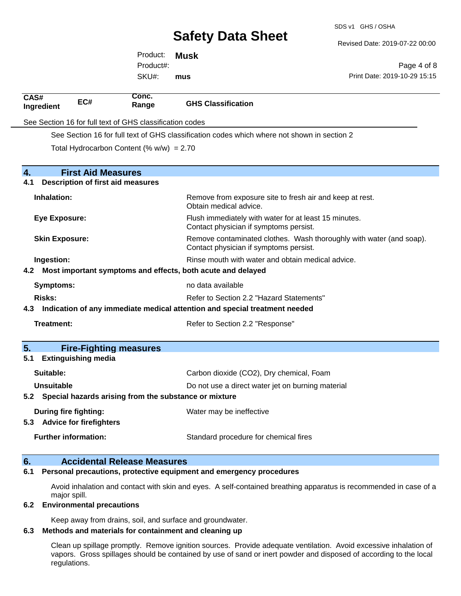SDS v1 GHS / OSHA

Revised Date: 2019-07-22 00:00

Product: **Musk** SKU#: Product#: **mus**

Page 4 of 8 Print Date: 2019-10-29 15:15

| CAS#<br>Ingredient                                                                                                                    | EC#                                      | Conc.<br>Range                                           | <b>GHS Classification</b>                                                                                     |
|---------------------------------------------------------------------------------------------------------------------------------------|------------------------------------------|----------------------------------------------------------|---------------------------------------------------------------------------------------------------------------|
|                                                                                                                                       |                                          | See Section 16 for full text of GHS classification codes |                                                                                                               |
|                                                                                                                                       |                                          |                                                          | See Section 16 for full text of GHS classification codes which where not shown in section 2                   |
|                                                                                                                                       |                                          | Total Hydrocarbon Content (% $w/w$ ) = 2.70              |                                                                                                               |
|                                                                                                                                       |                                          |                                                          |                                                                                                               |
| $\overline{4}$ .                                                                                                                      | <b>First Aid Measures</b>                |                                                          |                                                                                                               |
| 4.1                                                                                                                                   |                                          | <b>Description of first aid measures</b>                 |                                                                                                               |
| Inhalation:                                                                                                                           |                                          |                                                          | Remove from exposure site to fresh air and keep at rest.<br>Obtain medical advice.                            |
| <b>Eye Exposure:</b>                                                                                                                  |                                          |                                                          | Flush immediately with water for at least 15 minutes.<br>Contact physician if symptoms persist.               |
| <b>Skin Exposure:</b>                                                                                                                 |                                          |                                                          | Remove contaminated clothes. Wash thoroughly with water (and soap).<br>Contact physician if symptoms persist. |
| Rinse mouth with water and obtain medical advice.<br>Ingestion:<br>Most important symptoms and effects, both acute and delayed<br>4.2 |                                          |                                                          |                                                                                                               |
|                                                                                                                                       |                                          |                                                          |                                                                                                               |
|                                                                                                                                       | no data available<br><b>Symptoms:</b>    |                                                          |                                                                                                               |
| <b>Risks:</b>                                                                                                                         | Refer to Section 2.2 "Hazard Statements" |                                                          |                                                                                                               |
| Indication of any immediate medical attention and special treatment needed<br>4.3                                                     |                                          |                                                          |                                                                                                               |
| Treatment:                                                                                                                            |                                          |                                                          | Refer to Section 2.2 "Response"                                                                               |
| 5.                                                                                                                                    |                                          | <b>Fire-Fighting measures</b>                            |                                                                                                               |
| 5.1                                                                                                                                   | <b>Extinguishing media</b>               |                                                          |                                                                                                               |
| Suitable:                                                                                                                             |                                          |                                                          | Carbon dioxide (CO2), Dry chemical, Foam                                                                      |
| <b>Unsuitable</b>                                                                                                                     |                                          |                                                          | Do not use a direct water jet on burning material                                                             |
| Special hazards arising from the substance or mixture<br>5.2                                                                          |                                          |                                                          |                                                                                                               |
| 5.3 Advice for firefighters                                                                                                           | During fire fighting:                    |                                                          | Water may be ineffective                                                                                      |
|                                                                                                                                       | <b>Further information:</b>              |                                                          | Standard procedure for chemical fires                                                                         |
| 6.                                                                                                                                    |                                          | <b>Accidental Release Measures</b>                       |                                                                                                               |

#### **6.1 Personal precautions, protective equipment and emergency procedures**

Avoid inhalation and contact with skin and eyes. A self-contained breathing apparatus is recommended in case of a major spill.

#### **6.2 Environmental precautions**

Keep away from drains, soil, and surface and groundwater.

#### **6.3 Methods and materials for containment and cleaning up**

Clean up spillage promptly. Remove ignition sources. Provide adequate ventilation. Avoid excessive inhalation of vapors. Gross spillages should be contained by use of sand or inert powder and disposed of according to the local regulations.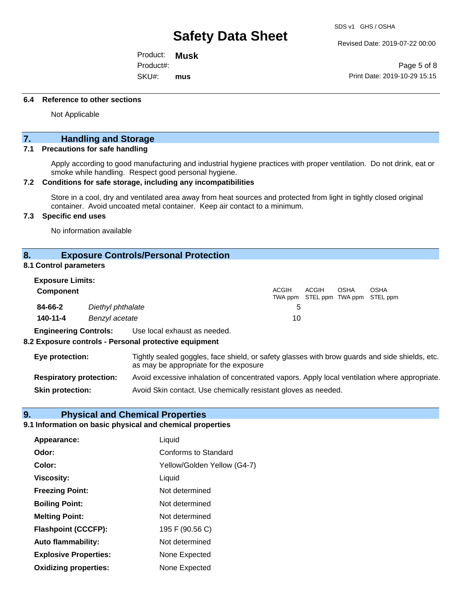Revised Date: 2019-07-22 00:00

Product: **Musk** SKU#: Product#: **mus**

Page 5 of 8 Print Date: 2019-10-29 15:15

#### **6.4 Reference to other sections**

Not Applicable

### **7. Handling and Storage**

#### **7.1 Precautions for safe handling**

Apply according to good manufacturing and industrial hygiene practices with proper ventilation. Do not drink, eat or smoke while handling. Respect good personal hygiene.

#### **7.2 Conditions for safe storage, including any incompatibilities**

Store in a cool, dry and ventilated area away from heat sources and protected from light in tightly closed original container. Avoid uncoated metal container. Keep air contact to a minimum.

#### **7.3 Specific end uses**

No information available

#### **8. Exposure Controls/Personal Protection**

#### **8.1 Control parameters**

| <b>Exposure Limits:</b> |                   |       |                                            |             |             |
|-------------------------|-------------------|-------|--------------------------------------------|-------------|-------------|
| Component               |                   | ACGIH | ACGIH<br>TWA ppm STEL ppm TWA ppm STEL ppm | <b>OSHA</b> | <b>OSHA</b> |
| 84-66-2                 | Diethyl phthalate |       |                                            |             |             |
| 140-11-4                | Benzyl acetate    | 10    |                                            |             |             |

**Engineering Controls:** Use local exhaust as needed.

#### **8.2 Exposure controls - Personal protective equipment**

| Eye protection:                | Tightly sealed goggles, face shield, or safety glasses with brow guards and side shields, etc.<br>as may be appropriate for the exposure |
|--------------------------------|------------------------------------------------------------------------------------------------------------------------------------------|
| <b>Respiratory protection:</b> | Avoid excessive inhalation of concentrated vapors. Apply local ventilation where appropriate.                                            |
| <b>Skin protection:</b>        | Avoid Skin contact. Use chemically resistant gloves as needed.                                                                           |

#### **9. Physical and Chemical Properties**

#### **9.1 Information on basic physical and chemical properties**

| Appearance:                  | Liquid                      |
|------------------------------|-----------------------------|
| Odor:                        | <b>Conforms to Standard</b> |
| Color:                       | Yellow/Golden Yellow (G4-7) |
| <b>Viscosity:</b>            | Liquid                      |
| <b>Freezing Point:</b>       | Not determined              |
| <b>Boiling Point:</b>        | Not determined              |
| <b>Melting Point:</b>        | Not determined              |
| <b>Flashpoint (CCCFP):</b>   | 195 F (90.56 C)             |
| <b>Auto flammability:</b>    | Not determined              |
| <b>Explosive Properties:</b> | None Expected               |
| <b>Oxidizing properties:</b> | None Expected               |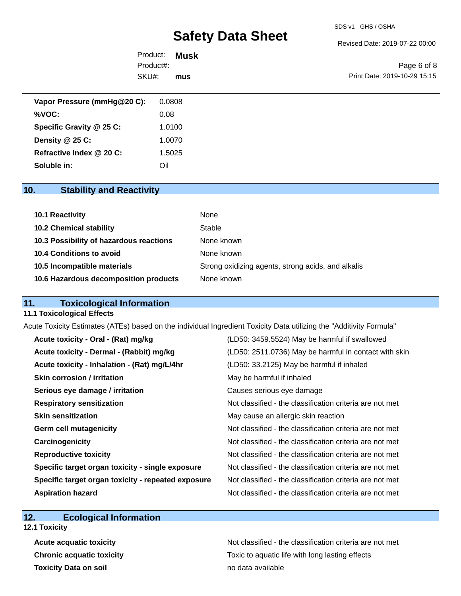#### SDS v1 GHS / OSHA

# **Safety Data Sheet**

Revised Date: 2019-07-22 00:00

| Product: <b>Musk</b> |     |                              |
|----------------------|-----|------------------------------|
| Product#:            |     | Page 6 of 8                  |
| SKU#:                | mus | Print Date: 2019-10-29 15:15 |

| 0.0808 |
|--------|
| 0.08   |
| 1.0100 |
| 1.0070 |
| 1.5025 |
| Oil    |
|        |

## **10. Stability and Reactivity**

| 10.1 Reactivity                         | None                                               |
|-----------------------------------------|----------------------------------------------------|
| <b>10.2 Chemical stability</b>          | Stable                                             |
| 10.3 Possibility of hazardous reactions | None known                                         |
| 10.4 Conditions to avoid                | None known                                         |
| 10.5 Incompatible materials             | Strong oxidizing agents, strong acids, and alkalis |
| 10.6 Hazardous decomposition products   | None known                                         |

## **11. Toxicological Information**

#### **11.1 Toxicological Effects**

Acute Toxicity Estimates (ATEs) based on the individual Ingredient Toxicity Data utilizing the "Additivity Formula"

| Acute toxicity - Oral - (Rat) mg/kg                | (LD50: 3459.5524) May be harmful if swallowed            |
|----------------------------------------------------|----------------------------------------------------------|
| Acute toxicity - Dermal - (Rabbit) mg/kg           | (LD50: 2511.0736) May be harmful in contact with skin    |
| Acute toxicity - Inhalation - (Rat) mg/L/4hr       | (LD50: 33.2125) May be harmful if inhaled                |
| <b>Skin corrosion / irritation</b>                 | May be harmful if inhaled                                |
| Serious eye damage / irritation                    | Causes serious eye damage                                |
| <b>Respiratory sensitization</b>                   | Not classified - the classification criteria are not met |
| <b>Skin sensitization</b>                          | May cause an allergic skin reaction                      |
| <b>Germ cell mutagenicity</b>                      | Not classified - the classification criteria are not met |
| Carcinogenicity                                    | Not classified - the classification criteria are not met |
| <b>Reproductive toxicity</b>                       | Not classified - the classification criteria are not met |
| Specific target organ toxicity - single exposure   | Not classified - the classification criteria are not met |
| Specific target organ toxicity - repeated exposure | Not classified - the classification criteria are not met |
| <b>Aspiration hazard</b>                           | Not classified - the classification criteria are not met |

## **12. Ecological Information**

**12.1 Toxicity**

**Toxicity Data on soil no data available no data available** 

Acute acquatic toxicity **Acute acquatic toxicity** Not classified - the classification criteria are not met **Chronic acquatic toxicity Toxic to aquatic life with long lasting effects**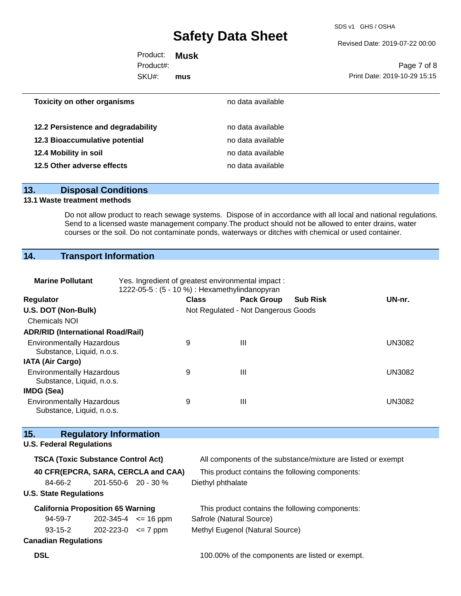SDS v1 GHS / OSHA

Revised Date: 2019-07-22 00:00

| Product: <b>Musk</b> |     |                              |
|----------------------|-----|------------------------------|
| Product#:            |     | Page 7 of 8                  |
| SKU#:                | mus | Print Date: 2019-10-29 15:15 |
|                      |     |                              |

| <b>Toxicity on other organisms</b> | no data available |  |
|------------------------------------|-------------------|--|
| 12.2 Persistence and degradability | no data available |  |
| 12.3 Bioaccumulative potential     | no data available |  |
| 12.4 Mobility in soil              | no data available |  |
| 12.5 Other adverse effects         | no data available |  |
|                                    |                   |  |

#### **13. Disposal Conditions**

#### **13.1 Waste treatment methods**

Do not allow product to reach sewage systems. Dispose of in accordance with all local and national regulations. Send to a licensed waste management company.The product should not be allowed to enter drains, water courses or the soil. Do not contaminate ponds, waterways or ditches with chemical or used container.

### **14. Transport Information**

| <b>Marine Pollutant</b>                                       | Yes. Ingredient of greatest environmental impact:<br>1222-05-5 : (5 - 10 %) : Hexamethylindanopyran |              |                                     |                 |               |  |  |
|---------------------------------------------------------------|-----------------------------------------------------------------------------------------------------|--------------|-------------------------------------|-----------------|---------------|--|--|
| <b>Regulator</b>                                              |                                                                                                     | <b>Class</b> | <b>Pack Group</b>                   | <b>Sub Risk</b> | UN-nr.        |  |  |
| U.S. DOT (Non-Bulk)                                           |                                                                                                     |              | Not Regulated - Not Dangerous Goods |                 |               |  |  |
| <b>Chemicals NOI</b>                                          |                                                                                                     |              |                                     |                 |               |  |  |
| <b>ADR/RID (International Road/Rail)</b>                      |                                                                                                     |              |                                     |                 |               |  |  |
| <b>Environmentally Hazardous</b><br>Substance, Liquid, n.o.s. |                                                                                                     | 9            | Ш                                   |                 | <b>UN3082</b> |  |  |
| <b>IATA (Air Cargo)</b>                                       |                                                                                                     |              |                                     |                 |               |  |  |
| <b>Environmentally Hazardous</b><br>Substance, Liquid, n.o.s. |                                                                                                     | 9            | Ш                                   |                 | UN3082        |  |  |
| <b>IMDG (Sea)</b>                                             |                                                                                                     |              |                                     |                 |               |  |  |
| <b>Environmentally Hazardous</b><br>Substance, Liquid, n.o.s. |                                                                                                     | 9            | Ш                                   |                 | UN3082        |  |  |

### **15. Regulatory Information U.S. Federal Regulations TSCA (Toxic Substance Control Act)** All components of the substance/mixture are listed or exempt **40 CFR(EPCRA, SARA, CERCLA and CAA)** This product contains the following components: 84-66-2 201-550-6 20 - 30 % Diethyl phthalate **U.S. State Regulations California Proposition 65 Warning** This product contains the following components: 94-59-7 93-15-2 202-345-4 <= 16 ppm Safrole (Natural Source) **Canadian Regulations** 202-223-0 <= 7 ppm Methyl Eugenol (Natural Source)

**DSL DSL 100.00%** of the components are listed or exempt.